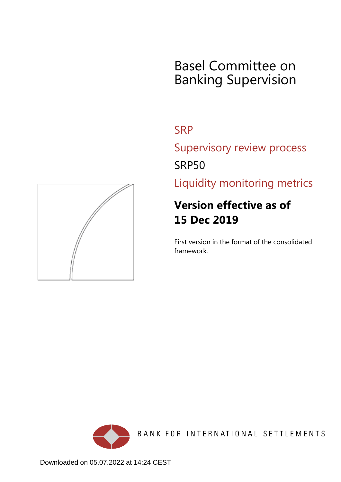# Basel Committee on Banking Supervision

## **SRP**

Supervisory review process SRP50

Liquidity monitoring metrics

## **Version effective as of 15 Dec 2019**

First version in the format of the consolidated framework.





Downloaded on 05.07.2022 at 14:24 CEST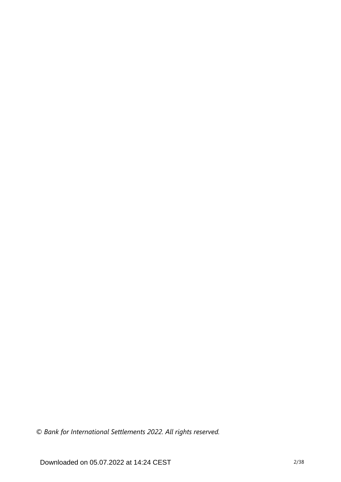*© Bank for International Settlements 2022. All rights reserved.*

Downloaded on 05.07.2022 at 14:24 CEST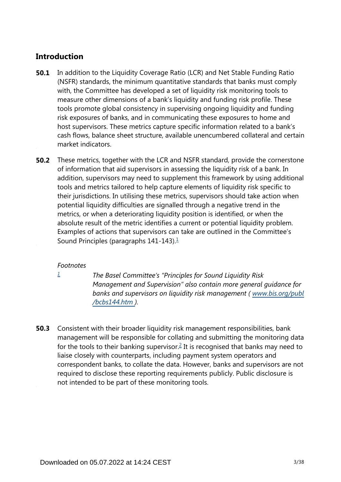## **Introduction**

- In addition to the Liquidity Coverage Ratio (LCR) and Net Stable Funding Ratio (NSFR) standards, the minimum quantitative standards that banks must comply with, the Committee has developed a set of liquidity risk monitoring tools to measure other dimensions of a bank's liquidity and funding risk profile. These tools promote global consistency in supervising ongoing liquidity and funding risk exposures of banks, and in communicating these exposures to home and host supervisors. These metrics capture specific information related to a bank's cash flows, balance sheet structure, available unencumbered collateral and certain market indicators. **50.1**
- These metrics, together with the LCR and NSFR standard, provide the cornerstone of information that aid supervisors in assessing the liquidity risk of a bank. In addition, supervisors may need to supplement this framework by using additional tools and metrics tailored to help capture elements of liquidity risk specific to their jurisdictions. In utilising these metrics, supervisors should take action when potential liquidity difficulties are signalled through a negative trend in the metrics, or when a deteriorating liquidity position is identified, or when the absolute result of the metric identifies a current or potential liquidity problem. Examples of actions that supervisors can take are outlined in the Committee's Sound Principles (paragraphs  $141-143$  $141-143$ ).<sup>1</sup> **50.2**

## <span id="page-2-1"></span>*Footnotes*

<span id="page-2-0"></span>*[1](#page-2-1)*

*The Basel Committee's "Principles for Sound Liquidity Risk Management and Supervision" also contain more general guidance for banks and supervisors on liquidity risk management ( [www.bis.org/publ](https://www.bis.org/publ/bcbs144.htm) [/bcbs144.htm](https://www.bis.org/publ/bcbs144.htm) ).*

<span id="page-2-2"></span>Consistent with their broader liquidity risk management responsibilities, bank management will be responsible for collating and submitting the monitoring data for the tools to their banking supervisor.<sup>[2](#page-3-0)</sup> It is recognised that banks may need to liaise closely with counterparts, including payment system operators and correspondent banks, to collate the data. However, banks and supervisors are not required to disclose these reporting requirements publicly. Public disclosure is not intended to be part of these monitoring tools. **50.3**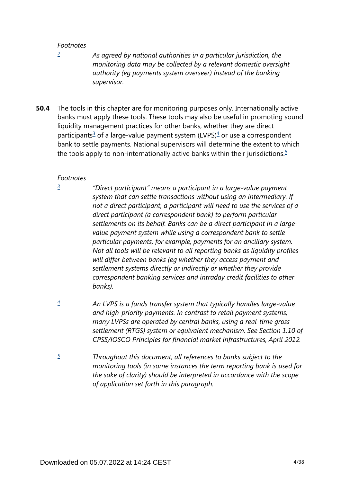<span id="page-3-0"></span>*[2](#page-2-2)*

*As agreed by national authorities in a particular jurisdiction, the monitoring data may be collected by a relevant domestic oversight authority (eg payments system overseer) instead of the banking supervisor.*

<span id="page-3-5"></span><span id="page-3-4"></span>The tools in this chapter are for monitoring purposes only. Internationally active banks must apply these tools. These tools may also be useful in promoting sound liquidity management practices for other banks, whether they are direct participants<sup>[3](#page-3-1)</sup> of a large-value payment system (LVPS)<sup>[4](#page-3-2)</sup> or use a correspondent bank to settle payments. National supervisors will determine the extent to which the tools apply to non-internationally active banks within their jurisdictions.<sup>[5](#page-3-3)</sup> **50.4**

#### *Footnotes*

<span id="page-3-1"></span>*[3](#page-3-4)*

*"Direct participant" means a participant in a large-value payment system that can settle transactions without using an intermediary. If not a direct participant, a participant will need to use the services of a direct participant (a correspondent bank) to perform particular settlements on its behalf. Banks can be a direct participant in a largevalue payment system while using a correspondent bank to settle particular payments, for example, payments for an ancillary system. Not all tools will be relevant to all reporting banks as liquidity profiles will differ between banks (eg whether they access payment and settlement systems directly or indirectly or whether they provide correspondent banking services and intraday credit facilities to other banks).* 

- <span id="page-3-2"></span>*An LVPS is a funds transfer system that typically handles large-value and high-priority payments. In contrast to retail payment systems, many LVPSs are operated by central banks, using a real-time gross settlement (RTGS) system or equivalent mechanism. See Section 1.10 of CPSS/IOSCO Principles for financial market infrastructures, April 2012. [4](#page-3-4)*
- <span id="page-3-3"></span>*Throughout this document, all references to banks subject to the monitoring tools (in some instances the term reporting bank is used for the sake of clarity) should be interpreted in accordance with the scope of application set forth in this paragraph. [5](#page-3-5)*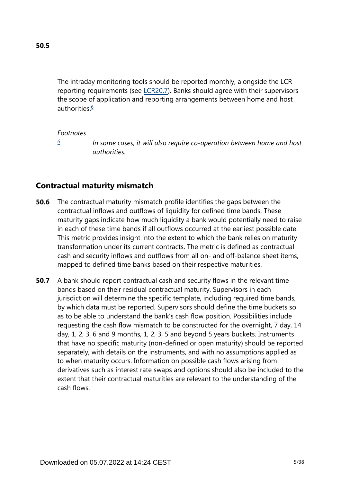<span id="page-4-1"></span>The intraday monitoring tools should be reported monthly, alongside the LCR reporting requirements (see [LCR20.7](https://www.bis.org/basel_framework/chapter/LCR/20.htm?tldate=20281012&inforce=20191215&published=20191215#paragraph_LCR_20_20191215_20_7)). Banks should agree with their supervisors the scope of application and reporting arrangements between home and host authorities.<sup>[6](#page-4-0)</sup>

#### *Footnotes*

*[6](#page-4-1)*

*In some cases, it will also require co-operation between home and host authorities.*

## <span id="page-4-0"></span>**Contractual maturity mismatch**

- The contractual maturity mismatch profile identifies the gaps between the contractual inflows and outflows of liquidity for defined time bands. These maturity gaps indicate how much liquidity a bank would potentially need to raise in each of these time bands if all outflows occurred at the earliest possible date. This metric provides insight into the extent to which the bank relies on maturity transformation under its current contracts. The metric is defined as contractual cash and security inflows and outflows from all on- and off-balance sheet items, mapped to defined time banks based on their respective maturities. **50.6**
- A bank should report contractual cash and security flows in the relevant time bands based on their residual contractual maturity. Supervisors in each jurisdiction will determine the specific template, including required time bands, by which data must be reported. Supervisors should define the time buckets so as to be able to understand the bank's cash flow position. Possibilities include requesting the cash flow mismatch to be constructed for the overnight, 7 day, 14 day, 1, 2, 3, 6 and 9 months, 1, 2, 3, 5 and beyond 5 years buckets. Instruments that have no specific maturity (non-defined or open maturity) should be reported separately, with details on the instruments, and with no assumptions applied as to when maturity occurs. Information on possible cash flows arising from derivatives such as interest rate swaps and options should also be included to the extent that their contractual maturities are relevant to the understanding of the cash flows. **50.7**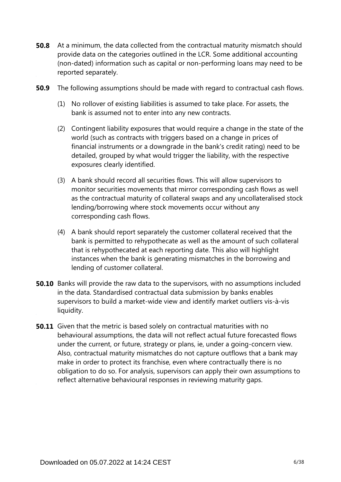- **50.8** At a minimum, the data collected from the contractual maturity mismatch should provide data on the categories outlined in the LCR. Some additional accounting (non-dated) information such as capital or non-performing loans may need to be reported separately.
- **50.9** The following assumptions should be made with regard to contractual cash flows.
	- (1) No rollover of existing liabilities is assumed to take place. For assets, the bank is assumed not to enter into any new contracts.
	- (2) Contingent liability exposures that would require a change in the state of the world (such as contracts with triggers based on a change in prices of financial instruments or a downgrade in the bank's credit rating) need to be detailed, grouped by what would trigger the liability, with the respective exposures clearly identified.
	- (3) A bank should record all securities flows. This will allow supervisors to monitor securities movements that mirror corresponding cash flows as well as the contractual maturity of collateral swaps and any uncollateralised stock lending/borrowing where stock movements occur without any corresponding cash flows.
	- (4) A bank should report separately the customer collateral received that the bank is permitted to rehypothecate as well as the amount of such collateral that is rehypothecated at each reporting date. This also will highlight instances when the bank is generating mismatches in the borrowing and lending of customer collateral.
- **50.10** Banks will provide the raw data to the supervisors, with no assumptions included in the data. Standardised contractual data submission by banks enables supervisors to build a market-wide view and identify market outliers vis-à-vis liquidity.
- **50.11** Given that the metric is based solely on contractual maturities with no behavioural assumptions, the data will not reflect actual future forecasted flows under the current, or future, strategy or plans, ie, under a going-concern view. Also, contractual maturity mismatches do not capture outflows that a bank may make in order to protect its franchise, even where contractually there is no obligation to do so. For analysis, supervisors can apply their own assumptions to reflect alternative behavioural responses in reviewing maturity gaps.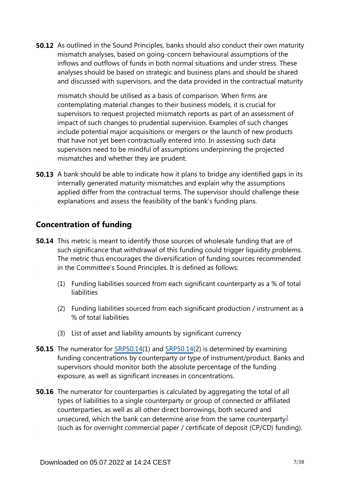**50.12** As outlined in the Sound Principles, banks should also conduct their own maturity mismatch analyses, based on going-concern behavioural assumptions of the inflows and outflows of funds in both normal situations and under stress. These analyses should be based on strategic and business plans and should be shared and discussed with supervisors, and the data provided in the contractual maturity

mismatch should be utilised as a basis of comparison. When firms are contemplating material changes to their business models, it is crucial for supervisors to request projected mismatch reports as part of an assessment of impact of such changes to prudential supervision. Examples of such changes include potential major acquisitions or mergers or the launch of new products that have not yet been contractually entered into. In assessing such data supervisors need to be mindful of assumptions underpinning the projected mismatches and whether they are prudent.

**50.13** A bank should be able to indicate how it plans to bridge any identified gaps in its internally generated maturity mismatches and explain why the assumptions applied differ from the contractual terms. The supervisor should challenge these explanations and assess the feasibility of the bank's funding plans.

## **Concentration of funding**

- **50.14** This metric is meant to identify those sources of wholesale funding that are of such significance that withdrawal of this funding could trigger liquidity problems. The metric thus encourages the diversification of funding sources recommended in the Committee's Sound Principles. It is defined as follows:
	- (1) Funding liabilities sourced from each significant counterparty as a % of total liabilities
	- (2) Funding liabilities sourced from each significant production / instrument as a % of total liabilities
	- (3) List of asset and liability amounts by significant currency
- **50.15** The numerator for [SRP50.14\(](https://www.bis.org/basel_framework/chapter/SRP/50.htm?tldate=20281012&inforce=20191215&published=20191215#paragraph_SRP_50_20191215_50_14)1) and SRP50.14(2) is determined by examining funding concentrations by counterparty or type of instrument/product. Banks and supervisors should monitor both the absolute percentage of the funding exposure, as well as significant increases in concentrations.
- <span id="page-6-0"></span>**50.16** The numerator for counterparties is calculated by aggregating the total of all types of liabilities to a single counterparty or group of connected or affiliated counterparties, as well as all other direct borrowings, both secured and unsecured, which the bank can determine arise from the same counterparty<sup>[3](#page-7-0)</sup> (such as for overnight commercial paper / certificate of deposit (CP/CD) funding).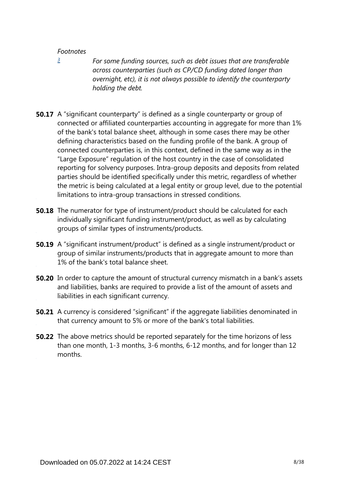<span id="page-7-0"></span>*[3](#page-6-0)*

*For some funding sources, such as debt issues that are transferable across counterparties (such as CP/CD funding dated longer than overnight, etc), it is not always possible to identify the counterparty holding the debt.*

- **50.17** A "significant counterparty" is defined as a single counterparty or group of connected or affiliated counterparties accounting in aggregate for more than 1% of the bank's total balance sheet, although in some cases there may be other defining characteristics based on the funding profile of the bank. A group of connected counterparties is, in this context, defined in the same way as in the "Large Exposure" regulation of the host country in the case of consolidated reporting for solvency purposes. Intra-group deposits and deposits from related parties should be identified specifically under this metric, regardless of whether the metric is being calculated at a legal entity or group level, due to the potential limitations to intra-group transactions in stressed conditions.
- **50.18** The numerator for type of instrument/product should be calculated for each individually significant funding instrument/product, as well as by calculating groups of similar types of instruments/products.
- **50.19** A "significant instrument/product" is defined as a single instrument/product or group of similar instruments/products that in aggregate amount to more than 1% of the bank's total balance sheet.
- **50.20** In order to capture the amount of structural currency mismatch in a bank's assets and liabilities, banks are required to provide a list of the amount of assets and liabilities in each significant currency.
- **50.21** A currency is considered "significant" if the aggregate liabilities denominated in that currency amount to 5% or more of the bank's total liabilities.
- **50.22** The above metrics should be reported separately for the time horizons of less than one month, 1-3 months, 3-6 months, 6-12 months, and for longer than 12 months.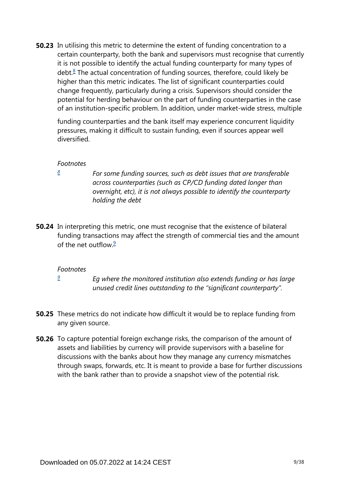<span id="page-8-1"></span>**50.23** In utilising this metric to determine the extent of funding concentration to a certain counterparty, both the bank and supervisors must recognise that currently it is not possible to identify the actual funding counterparty for many types of debt.<sup>[8](#page-8-0)</sup> The actual concentration of funding sources, therefore, could likely be higher than this metric indicates. The list of significant counterparties could change frequently, particularly during a crisis. Supervisors should consider the potential for herding behaviour on the part of funding counterparties in the case of an institution-specific problem. In addition, under market-wide stress, multiple

funding counterparties and the bank itself may experience concurrent liquidity pressures, making it difficult to sustain funding, even if sources appear well diversified.

#### *Footnotes*

<span id="page-8-0"></span>*[8](#page-8-1)*

*For some funding sources, such as debt issues that are transferable across counterparties (such as CP/CD funding dated longer than overnight, etc), it is not always possible to identify the counterparty holding the debt* 

<span id="page-8-3"></span>**50.24** In interpreting this metric, one must recognise that the existence of bilateral funding transactions may affect the strength of commercial ties and the amount of the net outflow  $\frac{9}{5}$  $\frac{9}{5}$  $\frac{9}{5}$ 

#### *Footnotes*

*[9](#page-8-3)*

*Eg where the monitored institution also extends funding or has large unused credit lines outstanding to the "significant counterparty".*

- <span id="page-8-2"></span>**50.25** These metrics do not indicate how difficult it would be to replace funding from any given source.
- **50.26** To capture potential foreign exchange risks, the comparison of the amount of assets and liabilities by currency will provide supervisors with a baseline for discussions with the banks about how they manage any currency mismatches through swaps, forwards, etc. It is meant to provide a base for further discussions with the bank rather than to provide a snapshot view of the potential risk.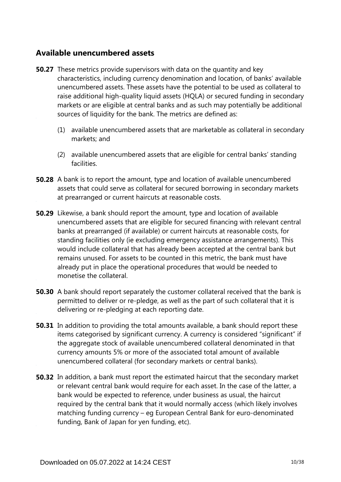## **Available unencumbered assets**

- **50.27** These metrics provide supervisors with data on the quantity and key characteristics, including currency denomination and location, of banks' available unencumbered assets. These assets have the potential to be used as collateral to raise additional high-quality liquid assets (HQLA) or secured funding in secondary markets or are eligible at central banks and as such may potentially be additional sources of liquidity for the bank. The metrics are defined as:
	- (1) available unencumbered assets that are marketable as collateral in secondary markets; and
	- (2) available unencumbered assets that are eligible for central banks' standing facilities.
- **50.28** A bank is to report the amount, type and location of available unencumbered assets that could serve as collateral for secured borrowing in secondary markets at prearranged or current haircuts at reasonable costs.
- **50.29** Likewise, a bank should report the amount, type and location of available unencumbered assets that are eligible for secured financing with relevant central banks at prearranged (if available) or current haircuts at reasonable costs, for standing facilities only (ie excluding emergency assistance arrangements). This would include collateral that has already been accepted at the central bank but remains unused. For assets to be counted in this metric, the bank must have already put in place the operational procedures that would be needed to monetise the collateral.
- **50.30** A bank should report separately the customer collateral received that the bank is permitted to deliver or re-pledge, as well as the part of such collateral that it is delivering or re-pledging at each reporting date.
- **50.31** In addition to providing the total amounts available, a bank should report these items categorised by significant currency. A currency is considered "significant" if the aggregate stock of available unencumbered collateral denominated in that currency amounts 5% or more of the associated total amount of available unencumbered collateral (for secondary markets or central banks).
- **50.32** In addition, a bank must report the estimated haircut that the secondary market or relevant central bank would require for each asset. In the case of the latter, a bank would be expected to reference, under business as usual, the haircut required by the central bank that it would normally access (which likely involves matching funding currency – eg European Central Bank for euro-denominated funding, Bank of Japan for yen funding, etc).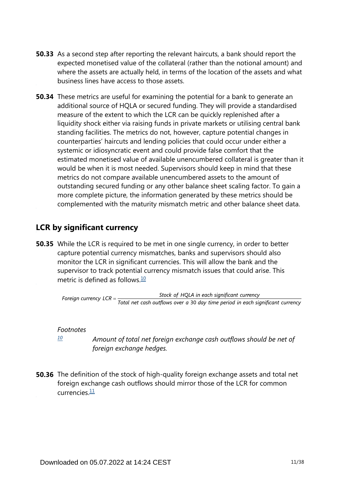- **50.33** As a second step after reporting the relevant haircuts, a bank should report the expected monetised value of the collateral (rather than the notional amount) and where the assets are actually held, in terms of the location of the assets and what business lines have access to those assets.
- **50.34** These metrics are useful for examining the potential for a bank to generate an additional source of HQLA or secured funding. They will provide a standardised measure of the extent to which the LCR can be quickly replenished after a liquidity shock either via raising funds in private markets or utilising central bank standing facilities. The metrics do not, however, capture potential changes in counterparties' haircuts and lending policies that could occur under either a systemic or idiosyncratic event and could provide false comfort that the estimated monetised value of available unencumbered collateral is greater than it would be when it is most needed. Supervisors should keep in mind that these metrics do not compare available unencumbered assets to the amount of outstanding secured funding or any other balance sheet scaling factor. To gain a more complete picture, the information generated by these metrics should be complemented with the maturity mismatch metric and other balance sheet data.

## **LCR by significant currency**

<span id="page-10-1"></span>**50.35** While the LCR is required to be met in one single currency, in order to better capture potential currency mismatches, banks and supervisors should also monitor the LCR in significant currencies. This will allow the bank and the supervisor to track potential currency mismatch issues that could arise. This metric is defined as follows  $\frac{10}{10}$  $\frac{10}{10}$  $\frac{10}{10}$ 

Stock of HQLA in each significant currency Foreign currency  $LCR = \frac{Stock\ of\ HQLA\ in\ each\ significant\ currency} {Total\ net\ cash\ outflows\ over\ a\ 30\ day\ time\ period\ in\ each\ significant\ currency}$ 

## *Footnotes*

*[10](#page-10-1)*

*Amount of total net foreign exchange cash outflows should be net of foreign exchange hedges.*

<span id="page-10-2"></span><span id="page-10-0"></span>**50.36** The definition of the stock of high-quality foreign exchange assets and total net foreign exchange cash outflows should mirror those of the LCR for common currencies $\frac{11}{1}$  $\frac{11}{1}$  $\frac{11}{1}$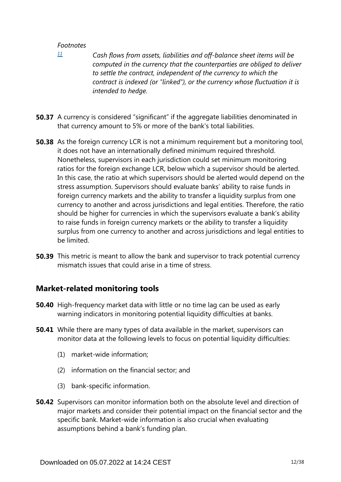<span id="page-11-0"></span>*[11](#page-10-2)*

- *Cash flows from assets, liabilities and off-balance sheet items will be computed in the currency that the counterparties are obliged to deliver to settle the contract, independent of the currency to which the contract is indexed (or "linked"), or the currency whose fluctuation it is intended to hedge.*
- **50.37** A currency is considered "significant" if the aggregate liabilities denominated in that currency amount to 5% or more of the bank's total liabilities.
- **50.38** As the foreign currency LCR is not a minimum requirement but a monitoring tool, it does not have an internationally defined minimum required threshold. Nonetheless, supervisors in each jurisdiction could set minimum monitoring ratios for the foreign exchange LCR, below which a supervisor should be alerted. In this case, the ratio at which supervisors should be alerted would depend on the stress assumption. Supervisors should evaluate banks' ability to raise funds in foreign currency markets and the ability to transfer a liquidity surplus from one currency to another and across jurisdictions and legal entities. Therefore, the ratio should be higher for currencies in which the supervisors evaluate a bank's ability to raise funds in foreign currency markets or the ability to transfer a liquidity surplus from one currency to another and across jurisdictions and legal entities to be limited.
- **50.39** This metric is meant to allow the bank and supervisor to track potential currency mismatch issues that could arise in a time of stress.

## **Market-related monitoring tools**

- **50.40** High-frequency market data with little or no time lag can be used as early warning indicators in monitoring potential liquidity difficulties at banks.
- While there are many types of data available in the market, supervisors can **50.41** monitor data at the following levels to focus on potential liquidity difficulties:
	- (1) market-wide information;
	- (2) information on the financial sector; and
	- (3) bank-specific information.
- **50.42** Supervisors can monitor information both on the absolute level and direction of major markets and consider their potential impact on the financial sector and the specific bank. Market-wide information is also crucial when evaluating assumptions behind a bank's funding plan.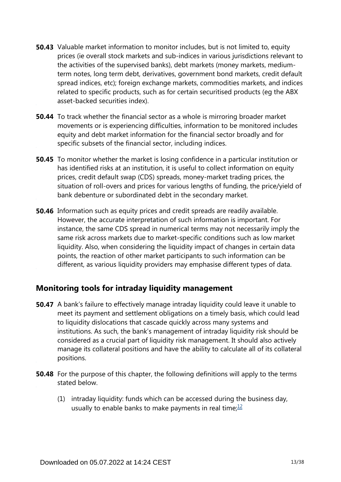- **50.43** Valuable market information to monitor includes, but is not limited to, equity prices (ie overall stock markets and sub-indices in various jurisdictions relevant to the activities of the supervised banks), debt markets (money markets, mediumterm notes, long term debt, derivatives, government bond markets, credit default spread indices, etc); foreign exchange markets, commodities markets, and indices related to specific products, such as for certain securitised products (eg the ABX asset-backed securities index).
- **50.44** To track whether the financial sector as a whole is mirroring broader market movements or is experiencing difficulties, information to be monitored includes equity and debt market information for the financial sector broadly and for specific subsets of the financial sector, including indices.
- **50.45** To monitor whether the market is losing confidence in a particular institution or has identified risks at an institution, it is useful to collect information on equity prices, credit default swap (CDS) spreads, money-market trading prices, the situation of roll-overs and prices for various lengths of funding, the price/yield of bank debenture or subordinated debt in the secondary market.
- **50.46** Information such as equity prices and credit spreads are readily available. However, the accurate interpretation of such information is important. For instance, the same CDS spread in numerical terms may not necessarily imply the same risk across markets due to market-specific conditions such as low market liquidity. Also, when considering the liquidity impact of changes in certain data points, the reaction of other market participants to such information can be different, as various liquidity providers may emphasise different types of data.

## **Monitoring tools for intraday liquidity management**

- **50.47** A bank's failure to effectively manage intraday liquidity could leave it unable to meet its payment and settlement obligations on a timely basis, which could lead to liquidity dislocations that cascade quickly across many systems and institutions. As such, the bank's management of intraday liquidity risk should be considered as a crucial part of liquidity risk management. It should also actively manage its collateral positions and have the ability to calculate all of its collateral positions.
- <span id="page-12-0"></span>**50.48** For the purpose of this chapter, the following definitions will apply to the terms stated below.
	- (1) intraday liquidity: funds which can be accessed during the business day, usually to enable banks to make payments in real time; $\frac{12}{1}$  $\frac{12}{1}$  $\frac{12}{1}$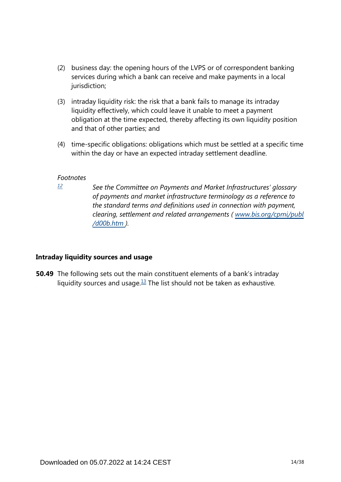- (2) business day: the opening hours of the LVPS or of correspondent banking services during which a bank can receive and make payments in a local jurisdiction;
- (3) intraday liquidity risk: the risk that a bank fails to manage its intraday liquidity effectively, which could leave it unable to meet a payment obligation at the time expected, thereby affecting its own liquidity position and that of other parties; and
- (4) time-specific obligations: obligations which must be settled at a specific time within the day or have an expected intraday settlement deadline.

<span id="page-13-0"></span>*[12](#page-12-0)*

*See the Committee on Payments and Market Infrastructures' glossary of payments and market infrastructure terminology as a reference to the standard terms and definitions used in connection with payment, clearing, settlement and related arrangements ( [www.bis.org/cpmi/publ](https://www.bis.org/cpmi/publ/d00b.htm) [/d00b.htm](https://www.bis.org/cpmi/publ/d00b.htm) ).*

## **Intraday liquidity sources and usage**

<span id="page-13-1"></span>**50.49** The following sets out the main constituent elements of a bank's intraday liquidity sources and usage. $13$  The list should not be taken as exhaustive.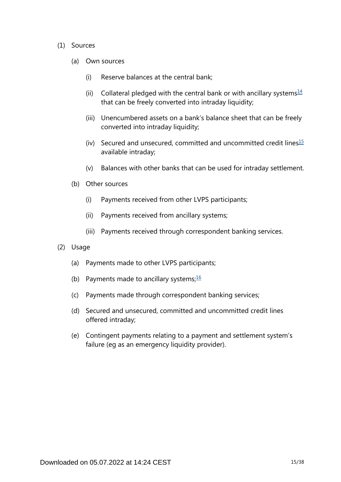#### <span id="page-14-0"></span>(1) Sources

- (a) Own sources
	- (i) Reserve balances at the central bank;
	- (ii) Collateral pledged with the central bank or with ancillary systems $\frac{14}{1}$  $\frac{14}{1}$  $\frac{14}{1}$ that can be freely converted into intraday liquidity;
	- (iii) Unencumbered assets on a bank's balance sheet that can be freely converted into intraday liquidity;
	- (iv) Secured and unsecured, committed and uncommitted credit lines $15$ available intraday;
	- (v) Balances with other banks that can be used for intraday settlement.
- <span id="page-14-1"></span>(b) Other sources
	- (i) Payments received from other LVPS participants;
	- (ii) Payments received from ancillary systems;
	- (iii) Payments received through correspondent banking services.
- <span id="page-14-2"></span>(2) Usage
	- (a) Payments made to other LVPS participants;
	- (b) Payments made to ancillary systems; $\frac{16}{10}$  $\frac{16}{10}$  $\frac{16}{10}$
	- (c) Payments made through correspondent banking services;
	- (d) Secured and unsecured, committed and uncommitted credit lines offered intraday;
	- (e) Contingent payments relating to a payment and settlement system's failure (eg as an emergency liquidity provider).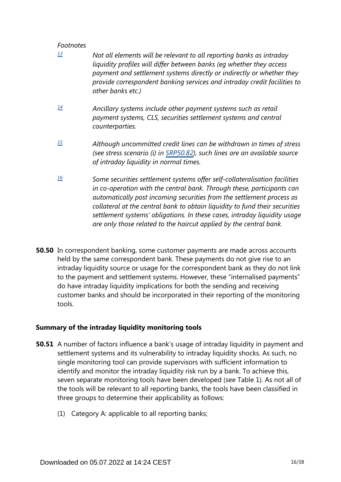- <span id="page-15-0"></span>*Not all elements will be relevant to all reporting banks as intraday liquidity profiles will differ between banks (eg whether they access payment and settlement systems directly or indirectly or whether they provide correspondent banking services and intraday credit facilities to other banks etc.) [13](#page-13-1)*
- <span id="page-15-1"></span>*Ancillary systems include other payment systems such as retail payment systems, CLS, securities settlement systems and central counterparties. [14](#page-14-0)*
- <span id="page-15-2"></span>*Although uncommitted credit lines can be withdrawn in times of stress (see stress scenario (i) in [SRP50.82\)](https://www.bis.org/basel_framework/chapter/SRP/50.htm?tldate=20281012&inforce=20191215&published=20191215#paragraph_SRP_50_20191215_50_82), such lines are an available source of intraday liquidity in normal times. [15](#page-14-1)*
- <span id="page-15-3"></span>*Some securities settlement systems offer self-collateralisation facilities in co-operation with the central bank. Through these, participants can automatically post incoming securities from the settlement process as collateral at the central bank to obtain liquidity to fund their securities settlement systems' obligations. In these cases, intraday liquidity usage are only those related to the haircut applied by the central bank. [16](#page-14-2)*
- **50.50** In correspondent banking, some customer payments are made across accounts held by the same correspondent bank. These payments do not give rise to an intraday liquidity source or usage for the correspondent bank as they do not link to the payment and settlement systems. However, these "internalised payments" do have intraday liquidity implications for both the sending and receiving customer banks and should be incorporated in their reporting of the monitoring tools.

## **Summary of the intraday liquidity monitoring tools**

- **50.51** A number of factors influence a bank's usage of intraday liquidity in payment and settlement systems and its vulnerability to intraday liquidity shocks. As such, no single monitoring tool can provide supervisors with sufficient information to identify and monitor the intraday liquidity risk run by a bank. To achieve this, seven separate monitoring tools have been developed (see Table 1). As not all of the tools will be relevant to all reporting banks, the tools have been classified in three groups to determine their applicability as follows:
	- (1) Category A: applicable to all reporting banks;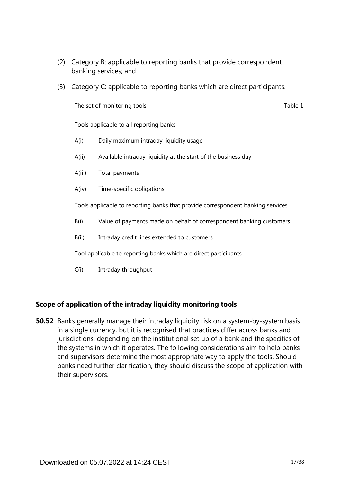- (2) Category B: applicable to reporting banks that provide correspondent banking services; and
- (3) Category C: applicable to reporting banks which are direct participants.

|                                                                  | The set of monitoring tools                                                     | Table 1 |  |  |  |
|------------------------------------------------------------------|---------------------------------------------------------------------------------|---------|--|--|--|
|                                                                  | Tools applicable to all reporting banks                                         |         |  |  |  |
| A(i)                                                             | Daily maximum intraday liquidity usage                                          |         |  |  |  |
| A(i)                                                             | Available intraday liquidity at the start of the business day                   |         |  |  |  |
| A(iii)                                                           | Total payments                                                                  |         |  |  |  |
| A(iv)                                                            | Time-specific obligations                                                       |         |  |  |  |
|                                                                  | Tools applicable to reporting banks that provide correspondent banking services |         |  |  |  |
| B(i)                                                             | Value of payments made on behalf of correspondent banking customers             |         |  |  |  |
| B(ii)                                                            | Intraday credit lines extended to customers                                     |         |  |  |  |
| Tool applicable to reporting banks which are direct participants |                                                                                 |         |  |  |  |
| C(i)                                                             | Intraday throughput                                                             |         |  |  |  |
|                                                                  |                                                                                 |         |  |  |  |

## **Scope of application of the intraday liquidity monitoring tools**

**50.52** Banks generally manage their intraday liquidity risk on a system-by-system basis in a single currency, but it is recognised that practices differ across banks and jurisdictions, depending on the institutional set up of a bank and the specifics of the systems in which it operates. The following considerations aim to help banks and supervisors determine the most appropriate way to apply the tools. Should banks need further clarification, they should discuss the scope of application with their supervisors.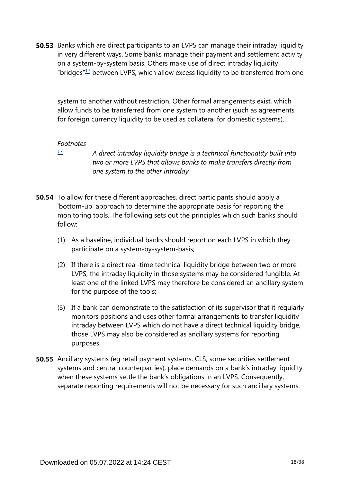<span id="page-17-1"></span>**50.53** Banks which are direct participants to an LVPS can manage their intraday liquidity in very different ways. Some banks manage their payment and settlement activity on a system-by-system basis. Others make use of direct intraday liquidity "bridges" $17$  between LVPS, which allow excess liquidity to be transferred from one

system to another without restriction. Other formal arrangements exist, which allow funds to be transferred from one system to another (such as agreements for foreign currency liquidity to be used as collateral for domestic systems).

#### *Footnotes*

<span id="page-17-0"></span>*[17](#page-17-1)*

*A direct intraday liquidity bridge is a technical functionality built into two or more LVPS that allows banks to make transfers directly from one system to the other intraday.*

- **50.54** To allow for these different approaches, direct participants should apply a 'bottom-up' approach to determine the appropriate basis for reporting the monitoring tools. The following sets out the principles which such banks should follow:
	- (1) As a baseline, individual banks should report on each LVPS in which they participate on a system-by-system-basis;
	- (2) If there is a direct real-time technical liquidity bridge between two or more LVPS, the intraday liquidity in those systems may be considered fungible. At least one of the linked LVPS may therefore be considered an ancillary system for the purpose of the tools;
	- (3) If a bank can demonstrate to the satisfaction of its supervisor that it regularly monitors positions and uses other formal arrangements to transfer liquidity intraday between LVPS which do not have a direct technical liquidity bridge, those LVPS may also be considered as ancillary systems for reporting purposes.
- **50.55** Ancillary systems (eg retail payment systems, CLS, some securities settlement systems and central counterparties), place demands on a bank's intraday liquidity when these systems settle the bank's obligations in an LVPS. Consequently, separate reporting requirements will not be necessary for such ancillary systems.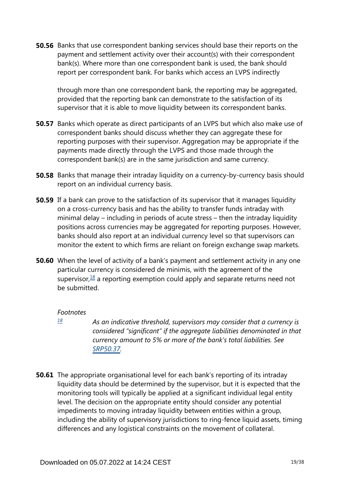**50.56** Banks that use correspondent banking services should base their reports on the payment and settlement activity over their account(s) with their correspondent bank(s). Where more than one correspondent bank is used, the bank should report per correspondent bank. For banks which access an LVPS indirectly

through more than one correspondent bank, the reporting may be aggregated, provided that the reporting bank can demonstrate to the satisfaction of its supervisor that it is able to move liquidity between its correspondent banks.

- **50.57** Banks which operate as direct participants of an LVPS but which also make use of correspondent banks should discuss whether they can aggregate these for reporting purposes with their supervisor. Aggregation may be appropriate if the payments made directly through the LVPS and those made through the correspondent bank(s) are in the same jurisdiction and same currency.
- **50.58** Banks that manage their intraday liquidity on a currency-by-currency basis should report on an individual currency basis.
- **50.59** If a bank can prove to the satisfaction of its supervisor that it manages liquidity on a cross-currency basis and has the ability to transfer funds intraday with minimal delay – including in periods of acute stress – then the intraday liquidity positions across currencies may be aggregated for reporting purposes. However, banks should also report at an individual currency level so that supervisors can monitor the extent to which firms are reliant on foreign exchange swap markets.
- <span id="page-18-1"></span>**50.60** When the level of activity of a bank's payment and settlement activity in any one particular currency is considered de minimis, with the agreement of the supervisor,  $\frac{18}{18}$  $\frac{18}{18}$  $\frac{18}{18}$  a reporting exemption could apply and separate returns need not be submitted.

#### *Footnotes*

- <span id="page-18-0"></span>*As an indicative threshold, supervisors may consider that a currency is considered "significant" if the aggregate liabilities denominated in that currency amount to 5% or more of the bank's total liabilities. See [SRP50.37](https://www.bis.org/basel_framework/chapter/SRP/50.htm?tldate=20281012&inforce=20191215&published=20191215#paragraph_SRP_50_20191215_50_37). [18](#page-18-1)*
- **50.61** The appropriate organisational level for each bank's reporting of its intraday liquidity data should be determined by the supervisor, but it is expected that the monitoring tools will typically be applied at a significant individual legal entity level. The decision on the appropriate entity should consider any potential impediments to moving intraday liquidity between entities within a group, including the ability of supervisory jurisdictions to ring-fence liquid assets, timing differences and any logistical constraints on the movement of collateral.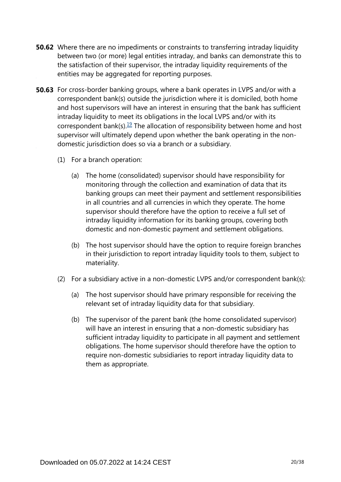- **50.62** Where there are no impediments or constraints to transferring intraday liquidity between two (or more) legal entities intraday, and banks can demonstrate this to the satisfaction of their supervisor, the intraday liquidity requirements of the entities may be aggregated for reporting purposes.
- <span id="page-19-0"></span>**50.63** For cross-border banking groups, where a bank operates in LVPS and/or with a correspondent bank(s) outside the jurisdiction where it is domiciled, both home and host supervisors will have an interest in ensuring that the bank has sufficient intraday liquidity to meet its obligations in the local LVPS and/or with its correspondent bank(s).<sup>[19](#page-20-0)</sup> The allocation of responsibility between home and host supervisor will ultimately depend upon whether the bank operating in the nondomestic jurisdiction does so via a branch or a subsidiary.
	- (1) For a branch operation:
		- (a) The home (consolidated) supervisor should have responsibility for monitoring through the collection and examination of data that its banking groups can meet their payment and settlement responsibilities in all countries and all currencies in which they operate. The home supervisor should therefore have the option to receive a full set of intraday liquidity information for its banking groups, covering both domestic and non-domestic payment and settlement obligations.
		- (b) The host supervisor should have the option to require foreign branches in their jurisdiction to report intraday liquidity tools to them, subject to materiality.
	- (2) For a subsidiary active in a non-domestic LVPS and/or correspondent bank(s):
		- (a) The host supervisor should have primary responsible for receiving the relevant set of intraday liquidity data for that subsidiary.
		- (b) The supervisor of the parent bank (the home consolidated supervisor) will have an interest in ensuring that a non-domestic subsidiary has sufficient intraday liquidity to participate in all payment and settlement obligations. The home supervisor should therefore have the option to require non-domestic subsidiaries to report intraday liquidity data to them as appropriate.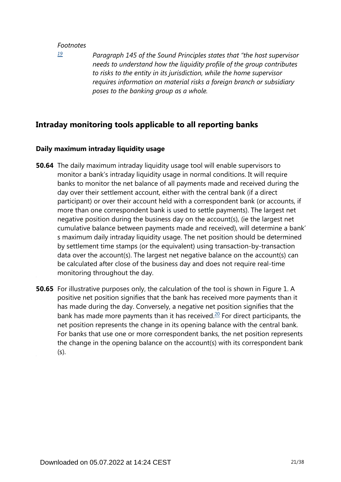<span id="page-20-0"></span>*[19](#page-19-0)*

*Paragraph 145 of the Sound Principles states that "the host supervisor needs to understand how the liquidity profile of the group contributes to risks to the entity in its jurisdiction, while the home supervisor requires information on material risks a foreign branch or subsidiary poses to the banking group as a whole.*

## **Intraday monitoring tools applicable to all reporting banks**

## **Daily maximum intraday liquidity usage**

- **50.64** The daily maximum intraday liquidity usage tool will enable supervisors to monitor a bank's intraday liquidity usage in normal conditions. It will require banks to monitor the net balance of all payments made and received during the day over their settlement account, either with the central bank (if a direct participant) or over their account held with a correspondent bank (or accounts, if more than one correspondent bank is used to settle payments). The largest net negative position during the business day on the account(s), (ie the largest net cumulative balance between payments made and received), will determine a bank' s maximum daily intraday liquidity usage. The net position should be determined by settlement time stamps (or the equivalent) using transaction-by-transaction data over the account(s). The largest net negative balance on the account(s) can be calculated after close of the business day and does not require real-time monitoring throughout the day.
- <span id="page-20-1"></span>**50.65** For illustrative purposes only, the calculation of the tool is shown in Figure 1. A positive net position signifies that the bank has received more payments than it has made during the day. Conversely, a negative net position signifies that the bank has made more payments than it has received.<sup>[20](#page-21-0)</sup> For direct participants, the net position represents the change in its opening balance with the central bank. For banks that use one or more correspondent banks, the net position represents the change in the opening balance on the account(s) with its correspondent bank (s).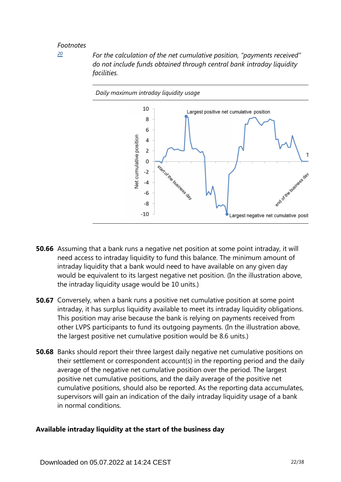<span id="page-21-0"></span>*[20](#page-20-1)*

*For the calculation of the net cumulative position, "payments received" do not include funds obtained through central bank intraday liquidity facilities.*



- **50.66** Assuming that a bank runs a negative net position at some point intraday, it will need access to intraday liquidity to fund this balance. The minimum amount of intraday liquidity that a bank would need to have available on any given day would be equivalent to its largest negative net position. (In the illustration above, the intraday liquidity usage would be 10 units.)
- **50.67** Conversely, when a bank runs a positive net cumulative position at some point intraday, it has surplus liquidity available to meet its intraday liquidity obligations. This position may arise because the bank is relying on payments received from other LVPS participants to fund its outgoing payments. (In the illustration above, the largest positive net cumulative position would be 8.6 units.)
- **50.68** Banks should report their three largest daily negative net cumulative positions on their settlement or correspondent account(s) in the reporting period and the daily average of the negative net cumulative position over the period. The largest positive net cumulative positions, and the daily average of the positive net cumulative positions, should also be reported. As the reporting data accumulates, supervisors will gain an indication of the daily intraday liquidity usage of a bank in normal conditions.

## **Available intraday liquidity at the start of the business day**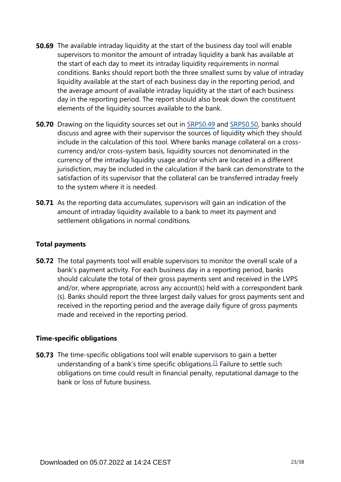- **50.69** The available intraday liquidity at the start of the business day tool will enable supervisors to monitor the amount of intraday liquidity a bank has available at the start of each day to meet its intraday liquidity requirements in normal conditions. Banks should report both the three smallest sums by value of intraday liquidity available at the start of each business day in the reporting period, and the average amount of available intraday liquidity at the start of each business day in the reporting period. The report should also break down the constituent elements of the liquidity sources available to the bank.
- **50.70** Drawing on the liquidity sources set out in [SRP50.49](https://www.bis.org/basel_framework/chapter/SRP/50.htm?tldate=20281012&inforce=20191215&published=20191215#paragraph_SRP_50_20191215_50_49) and [SRP50.50,](https://www.bis.org/basel_framework/chapter/SRP/50.htm?tldate=20281012&inforce=20191215&published=20191215#paragraph_SRP_50_20191215_50_50) banks should discuss and agree with their supervisor the sources of liquidity which they should include in the calculation of this tool. Where banks manage collateral on a crosscurrency and/or cross-system basis, liquidity sources not denominated in the currency of the intraday liquidity usage and/or which are located in a different jurisdiction, may be included in the calculation if the bank can demonstrate to the satisfaction of its supervisor that the collateral can be transferred intraday freely to the system where it is needed.
- **50.71** As the reporting data accumulates, supervisors will gain an indication of the amount of intraday liquidity available to a bank to meet its payment and settlement obligations in normal conditions.

## **Total payments**

**50.72** The total payments tool will enable supervisors to monitor the overall scale of a bank's payment activity. For each business day in a reporting period, banks should calculate the total of their gross payments sent and received in the LVPS and/or, where appropriate, across any account(s) held with a correspondent bank (s). Banks should report the three largest daily values for gross payments sent and received in the reporting period and the average daily figure of gross payments made and received in the reporting period.

## **Time-specific obligations**

<span id="page-22-0"></span>**50.73** The time-specific obligations tool will enable supervisors to gain a better understanding of a bank's time specific obligations. $21$  Failure to settle such obligations on time could result in financial penalty, reputational damage to the bank or loss of future business.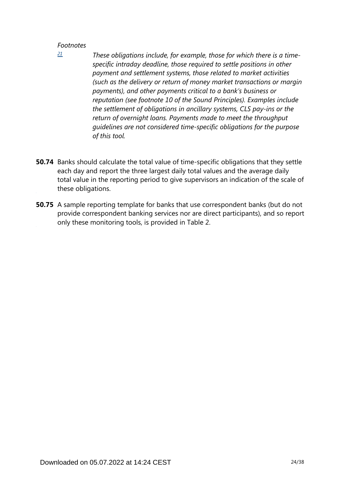<span id="page-23-0"></span>*[21](#page-22-0)*

- *These obligations include, for example, those for which there is a timespecific intraday deadline, those required to settle positions in other payment and settlement systems, those related to market activities (such as the delivery or return of money market transactions or margin payments), and other payments critical to a bank's business or reputation (see footnote 10 of the Sound Principles). Examples include the settlement of obligations in ancillary systems, CLS pay-ins or the return of overnight loans. Payments made to meet the throughput guidelines are not considered time-specific obligations for the purpose of this tool.*
- **50.74** Banks should calculate the total value of time-specific obligations that they settle each day and report the three largest daily total values and the average daily total value in the reporting period to give supervisors an indication of the scale of these obligations.
- **50.75** A sample reporting template for banks that use correspondent banks (but do not provide correspondent banking services nor are direct participants), and so report only these monitoring tools, is provided in Table 2.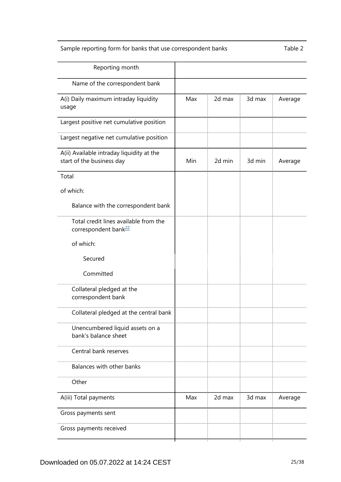## Sample reporting form for banks that use correspondent banks Table 2

<span id="page-24-0"></span>

| Reporting month                                                           |     |        |        |         |
|---------------------------------------------------------------------------|-----|--------|--------|---------|
| Name of the correspondent bank                                            |     |        |        |         |
| A(i) Daily maximum intraday liquidity<br>usage                            | Max | 2d max | 3d max | Average |
| Largest positive net cumulative position                                  |     |        |        |         |
| Largest negative net cumulative position                                  |     |        |        |         |
| A(ii) Available intraday liquidity at the<br>start of the business day    | Min | 2d min | 3d min | Average |
| Total                                                                     |     |        |        |         |
| of which:                                                                 |     |        |        |         |
| Balance with the correspondent bank                                       |     |        |        |         |
| Total credit lines available from the<br>correspondent bank <sup>22</sup> |     |        |        |         |
| of which:                                                                 |     |        |        |         |
| Secured                                                                   |     |        |        |         |
| Committed                                                                 |     |        |        |         |
| Collateral pledged at the<br>correspondent bank                           |     |        |        |         |
| Collateral pledged at the central bank                                    |     |        |        |         |
| Unencumbered liquid assets on a<br>bank's balance sheet                   |     |        |        |         |
| Central bank reserves                                                     |     |        |        |         |
| Balances with other banks                                                 |     |        |        |         |
| Other                                                                     |     |        |        |         |
| A(iii) Total payments                                                     | Max | 2d max | 3d max | Average |
| Gross payments sent                                                       |     |        |        |         |
| Gross payments received                                                   |     |        |        |         |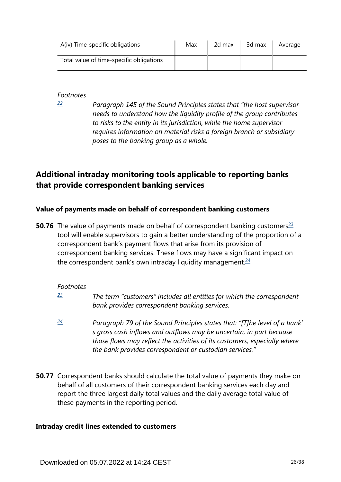| A(iv) Time-specific obligations          | Max | 2d max | 3d max | Average |
|------------------------------------------|-----|--------|--------|---------|
| Total value of time-specific obligations |     |        |        |         |

<span id="page-25-0"></span>*[22](#page-24-0)*

*Paragraph 145 of the Sound Principles states that "the host supervisor needs to understand how the liquidity profile of the group contributes to risks to the entity in its jurisdiction, while the home supervisor requires information on material risks a foreign branch or subsidiary poses to the banking group as a whole.*

## **Additional intraday monitoring tools applicable to reporting banks that provide correspondent banking services**

## **Value of payments made on behalf of correspondent banking customers**

<span id="page-25-4"></span><span id="page-25-3"></span>**50.76** The value of payments made on behalf of correspondent banking customers<sup>[23](#page-25-1)</sup> tool will enable supervisors to gain a better understanding of the proportion of a correspondent bank's payment flows that arise from its provision of correspondent banking services. These flows may have a significant impact on the correspondent bank's own intraday liquidity management. $24$ 

## *Footnotes*

- <span id="page-25-1"></span>*The term "customers" includes all entities for which the correspondent bank provides correspondent banking services. [23](#page-25-3)*
- <span id="page-25-2"></span>*Paragraph 79 of the Sound Principles states that: "[T]he level of a bank' s gross cash inflows and outflows may be uncertain, in part because those flows may reflect the activities of its customers, especially where the bank provides correspondent or custodian services." [24](#page-25-4)*
- **50.77** Correspondent banks should calculate the total value of payments they make on behalf of all customers of their correspondent banking services each day and report the three largest daily total values and the daily average total value of these payments in the reporting period.

## **Intraday credit lines extended to customers**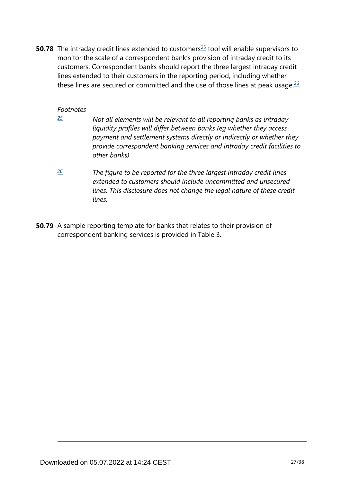<span id="page-26-3"></span><span id="page-26-2"></span>**50.78** The intraday credit lines extended to customers<sup>[25](#page-26-0)</sup> tool will enable supervisors to monitor the scale of a correspondent bank's provision of intraday credit to its customers. Correspondent banks should report the three largest intraday credit lines extended to their customers in the reporting period, including whether these lines are secured or committed and the use of those lines at peak usage. $26$ 

### *Footnotes*

<span id="page-26-0"></span>*[25](#page-26-2)*

- *Not all elements will be relevant to all reporting banks as intraday liquidity profiles will differ between banks (eg whether they access payment and settlement systems directly or indirectly or whether they provide correspondent banking services and intraday credit facilities to other banks)*
- <span id="page-26-1"></span>*The figure to be reported for the three largest intraday credit lines extended to customers should include uncommitted and unsecured lines. This disclosure does not change the legal nature of these credit lines. [26](#page-26-3)*
- **50.79** A sample reporting template for banks that relates to their provision of correspondent banking services is provided in Table 3.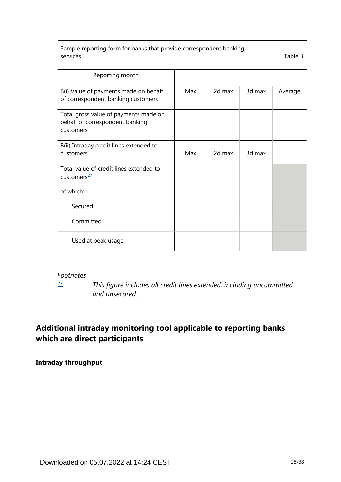Sample reporting form for banks that provide correspondent banking services Table 3

| Reporting month                                                                       |     |        |        |         |
|---------------------------------------------------------------------------------------|-----|--------|--------|---------|
| B(i) Value of payments made on behalf<br>of correspondent banking customers           | Max | 2d max | 3d max | Average |
| Total gross value of payments made on<br>behalf of correspondent banking<br>customers |     |        |        |         |
| B(ii) Intraday credit lines extended to<br>customers                                  | Max | 2d max | 3d max |         |
| Total value of credit lines extended to<br>customers <sup>27</sup>                    |     |        |        |         |
| of which:                                                                             |     |        |        |         |
| Secured                                                                               |     |        |        |         |
| Committed                                                                             |     |        |        |         |
| Used at peak usage                                                                    |     |        |        |         |

#### <span id="page-27-1"></span>*Footnotes*

*[27](#page-27-1)*

*This figure includes all credit lines extended, including uncommitted and unsecured.*

## <span id="page-27-0"></span>**Additional intraday monitoring tool applicable to reporting banks which are direct participants**

**Intraday throughput**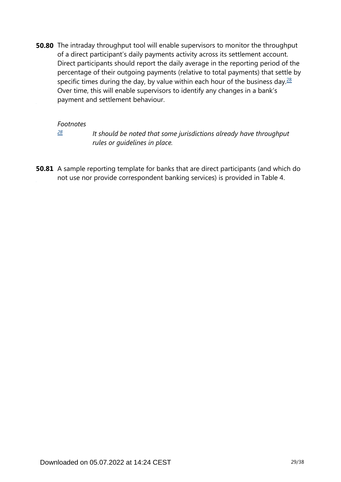<span id="page-28-1"></span>**50.80** The intraday throughput tool will enable supervisors to monitor the throughput of a direct participant's daily payments activity across its settlement account. Direct participants should report the daily average in the reporting period of the percentage of their outgoing payments (relative to total payments) that settle by specific times during the day, by value within each hour of the business day. $\frac{28}{2}$  $\frac{28}{2}$  $\frac{28}{2}$ Over time, this will enable supervisors to identify any changes in a bank's payment and settlement behaviour.

#### *Footnotes*

*[28](#page-28-1)*

*It should be noted that some jurisdictions already have throughput rules or guidelines in place.*

<span id="page-28-0"></span>**50.81** A sample reporting template for banks that are direct participants (and which do not use nor provide correspondent banking services) is provided in Table 4.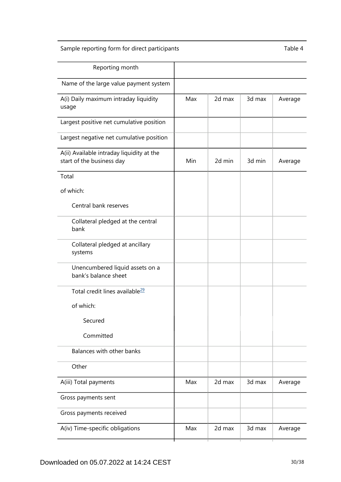## Sample reporting form for direct participants Table 4

<span id="page-29-0"></span>

| Reporting month                                                        |     |        |        |         |
|------------------------------------------------------------------------|-----|--------|--------|---------|
| Name of the large value payment system                                 |     |        |        |         |
| A(i) Daily maximum intraday liquidity<br>usage                         | Max | 2d max | 3d max | Average |
| Largest positive net cumulative position                               |     |        |        |         |
| Largest negative net cumulative position                               |     |        |        |         |
| A(ii) Available intraday liquidity at the<br>start of the business day | Min | 2d min | 3d min | Average |
| Total                                                                  |     |        |        |         |
| of which:                                                              |     |        |        |         |
| Central bank reserves                                                  |     |        |        |         |
| Collateral pledged at the central<br>bank                              |     |        |        |         |
| Collateral pledged at ancillary<br>systems                             |     |        |        |         |
| Unencumbered liquid assets on a<br>bank's balance sheet                |     |        |        |         |
| Total credit lines available <sup>29</sup>                             |     |        |        |         |
| of which:                                                              |     |        |        |         |
| Secured                                                                |     |        |        |         |
| Committed                                                              |     |        |        |         |
| Balances with other banks                                              |     |        |        |         |
| Other                                                                  |     |        |        |         |
| A(iii) Total payments                                                  | Max | 2d max | 3d max | Average |
| Gross payments sent                                                    |     |        |        |         |
| Gross payments received                                                |     |        |        |         |
| A(iv) Time-specific obligations                                        | Max | 2d max | 3d max | Average |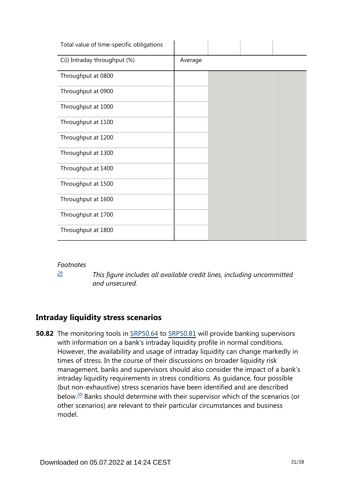| Total value of time-specific obligations |         |  |  |
|------------------------------------------|---------|--|--|
| C(i) Intraday throughput (%)             | Average |  |  |
| Throughput at 0800                       |         |  |  |
| Throughput at 0900                       |         |  |  |
| Throughput at 1000                       |         |  |  |
| Throughput at 1100                       |         |  |  |
| Throughput at 1200                       |         |  |  |
| Throughput at 1300                       |         |  |  |
| Throughput at 1400                       |         |  |  |
| Throughput at 1500                       |         |  |  |
| Throughput at 1600                       |         |  |  |
| Throughput at 1700                       |         |  |  |
| Throughput at 1800                       |         |  |  |

*[29](#page-29-0)*

*This figure includes all available credit lines, including uncommitted and unsecured.*

## <span id="page-30-0"></span>**Intraday liquidity stress scenarios**

<span id="page-30-1"></span>**50.82** The monitoring tools in [SRP50.64](https://www.bis.org/basel_framework/chapter/SRP/50.htm?tldate=20281012&inforce=20191215&published=20191215#paragraph_SRP_50_20191215_50_64) to [SRP50.81](https://www.bis.org/basel_framework/chapter/SRP/50.htm?tldate=20281012&inforce=20191215&published=20191215#paragraph_SRP_50_20191215_50_81) will provide banking supervisors with information on a bank's intraday liquidity profile in normal conditions. However, the availability and usage of intraday liquidity can change markedly in times of stress. In the course of their discussions on broader liquidity risk management, banks and supervisors should also consider the impact of a bank's intraday liquidity requirements in stress conditions. As guidance, four possible (but non-exhaustive) stress scenarios have been identified and are described below.[30](#page-32-0) Banks should determine with their supervisor which of the scenarios (or other scenarios) are relevant to their particular circumstances and business model.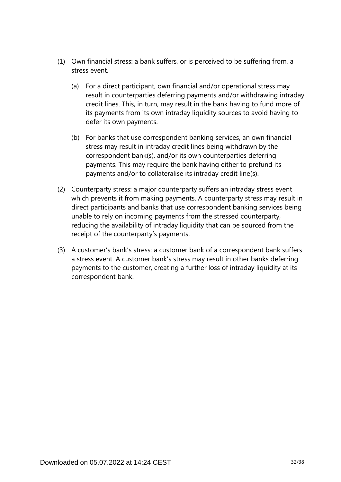- (1) Own financial stress: a bank suffers, or is perceived to be suffering from, a stress event.
	- (a) For a direct participant, own financial and/or operational stress may result in counterparties deferring payments and/or withdrawing intraday credit lines. This, in turn, may result in the bank having to fund more of its payments from its own intraday liquidity sources to avoid having to defer its own payments.
	- (b) For banks that use correspondent banking services, an own financial stress may result in intraday credit lines being withdrawn by the correspondent bank(s), and/or its own counterparties deferring payments. This may require the bank having either to prefund its payments and/or to collateralise its intraday credit line(s).
- (2) Counterparty stress: a major counterparty suffers an intraday stress event which prevents it from making payments. A counterparty stress may result in direct participants and banks that use correspondent banking services being unable to rely on incoming payments from the stressed counterparty, reducing the availability of intraday liquidity that can be sourced from the receipt of the counterparty's payments.
- (3) A customer's bank's stress: a customer bank of a correspondent bank suffers a stress event. A customer bank's stress may result in other banks deferring payments to the customer, creating a further loss of intraday liquidity at its correspondent bank.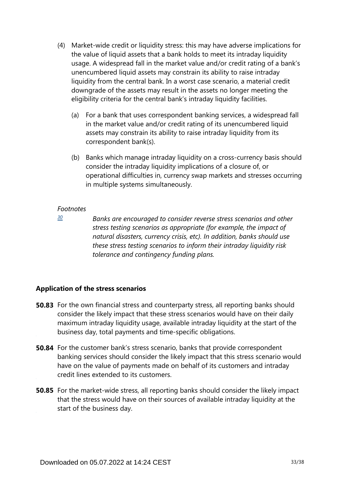- (4) Market-wide credit or liquidity stress: this may have adverse implications for the value of liquid assets that a bank holds to meet its intraday liquidity usage. A widespread fall in the market value and/or credit rating of a bank's unencumbered liquid assets may constrain its ability to raise intraday liquidity from the central bank. In a worst case scenario, a material credit downgrade of the assets may result in the assets no longer meeting the eligibility criteria for the central bank's intraday liquidity facilities.
	- (a) For a bank that uses correspondent banking services, a widespread fall in the market value and/or credit rating of its unencumbered liquid assets may constrain its ability to raise intraday liquidity from its correspondent bank(s).
	- (b) Banks which manage intraday liquidity on a cross-currency basis should consider the intraday liquidity implications of a closure of, or operational difficulties in, currency swap markets and stresses occurring in multiple systems simultaneously.

<span id="page-32-0"></span>*[30](#page-30-1)*

*Banks are encouraged to consider reverse stress scenarios and other stress testing scenarios as appropriate (for example, the impact of natural disasters, currency crisis, etc). In addition, banks should use these stress testing scenarios to inform their intraday liquidity risk tolerance and contingency funding plans.*

## **Application of the stress scenarios**

- **50.83** For the own financial stress and counterparty stress, all reporting banks should consider the likely impact that these stress scenarios would have on their daily maximum intraday liquidity usage, available intraday liquidity at the start of the business day, total payments and time-specific obligations.
- **50.84** For the customer bank's stress scenario, banks that provide correspondent banking services should consider the likely impact that this stress scenario would have on the value of payments made on behalf of its customers and intraday credit lines extended to its customers.
- **50.85** For the market-wide stress, all reporting banks should consider the likely impact that the stress would have on their sources of available intraday liquidity at the start of the business day.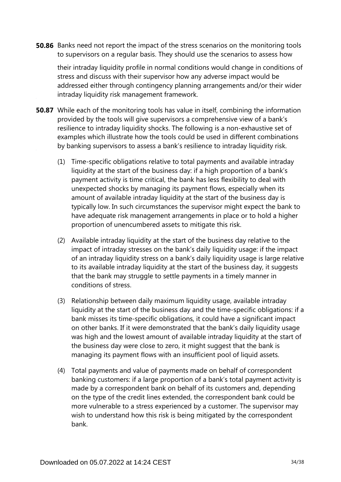**50.86** Banks need not report the impact of the stress scenarios on the monitoring tools to supervisors on a regular basis. They should use the scenarios to assess how

their intraday liquidity profile in normal conditions would change in conditions of stress and discuss with their supervisor how any adverse impact would be addressed either through contingency planning arrangements and/or their wider intraday liquidity risk management framework.

- **50.87** While each of the monitoring tools has value in itself, combining the information provided by the tools will give supervisors a comprehensive view of a bank's resilience to intraday liquidity shocks. The following is a non-exhaustive set of examples which illustrate how the tools could be used in different combinations by banking supervisors to assess a bank's resilience to intraday liquidity risk.
	- (1) Time-specific obligations relative to total payments and available intraday liquidity at the start of the business day: if a high proportion of a bank's payment activity is time critical, the bank has less flexibility to deal with unexpected shocks by managing its payment flows, especially when its amount of available intraday liquidity at the start of the business day is typically low. In such circumstances the supervisor might expect the bank to have adequate risk management arrangements in place or to hold a higher proportion of unencumbered assets to mitigate this risk.
	- (2) Available intraday liquidity at the start of the business day relative to the impact of intraday stresses on the bank's daily liquidity usage: if the impact of an intraday liquidity stress on a bank's daily liquidity usage is large relative to its available intraday liquidity at the start of the business day, it suggests that the bank may struggle to settle payments in a timely manner in conditions of stress.
	- (3) Relationship between daily maximum liquidity usage, available intraday liquidity at the start of the business day and the time-specific obligations: if a bank misses its time-specific obligations, it could have a significant impact on other banks. If it were demonstrated that the bank's daily liquidity usage was high and the lowest amount of available intraday liquidity at the start of the business day were close to zero, it might suggest that the bank is managing its payment flows with an insufficient pool of liquid assets.
	- (4) Total payments and value of payments made on behalf of correspondent banking customers: if a large proportion of a bank's total payment activity is made by a correspondent bank on behalf of its customers and, depending on the type of the credit lines extended, the correspondent bank could be more vulnerable to a stress experienced by a customer. The supervisor may wish to understand how this risk is being mitigated by the correspondent bank.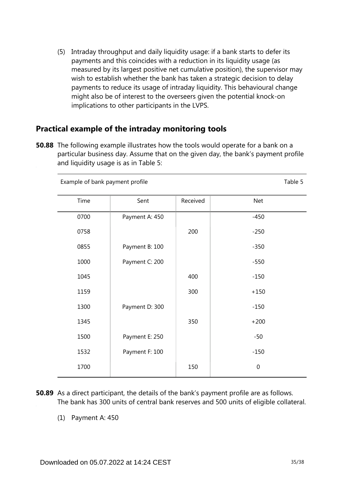(5) Intraday throughput and daily liquidity usage: if a bank starts to defer its payments and this coincides with a reduction in its liquidity usage (as measured by its largest positive net cumulative position), the supervisor may wish to establish whether the bank has taken a strategic decision to delay payments to reduce its usage of intraday liquidity. This behavioural change might also be of interest to the overseers given the potential knock-on implications to other participants in the LVPS.

## **Practical example of the intraday monitoring tools**

**50.88** The following example illustrates how the tools would operate for a bank on a particular business day. Assume that on the given day, the bank's payment profile and liquidity usage is as in Table 5:

| Example of bank payment profile |                |          | Table 5          |
|---------------------------------|----------------|----------|------------------|
| Time                            | Sent           | Received | <b>Net</b>       |
| 0700                            | Payment A: 450 |          | $-450$           |
| 0758                            |                | 200      | $-250$           |
| 0855                            | Payment B: 100 |          | $-350$           |
| 1000                            | Payment C: 200 |          | $-550$           |
| 1045                            |                | 400      | $-150$           |
| 1159                            |                | 300      | $+150$           |
| 1300                            | Payment D: 300 |          | $-150$           |
| 1345                            |                | 350      | $+200$           |
| 1500                            | Payment E: 250 |          | $-50$            |
| 1532                            | Payment F: 100 |          | $-150$           |
| 1700                            |                | 150      | $\boldsymbol{0}$ |

- **50.89** As a direct participant, the details of the bank's payment profile are as follows. The bank has 300 units of central bank reserves and 500 units of eligible collateral.
	- (1) Payment A: 450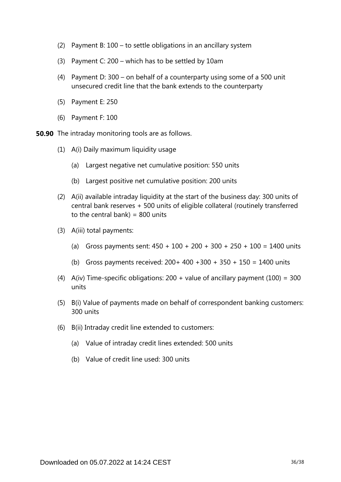- (2) Payment B: 100 to settle obligations in an ancillary system
- (3) Payment C: 200 which has to be settled by 10am
- (4) Payment D: 300 on behalf of a counterparty using some of a 500 unit unsecured credit line that the bank extends to the counterparty
- (5) Payment E: 250
- (6) Payment F: 100
- **50.90** The intraday monitoring tools are as follows.
	- (1) A(i) Daily maximum liquidity usage
		- (a) Largest negative net cumulative position: 550 units
		- (b) Largest positive net cumulative position: 200 units
	- (2) A(ii) available intraday liquidity at the start of the business day: 300 units of central bank reserves + 500 units of eligible collateral (routinely transferred to the central bank) =  $800$  units
	- (3) A(iii) total payments:
		- (a) Gross payments sent:  $450 + 100 + 200 + 300 + 250 + 100 = 1400$  units
		- (b) Gross payments received:  $200+400+300+350+150 = 1400$  units
	- (4) A(iv) Time-specific obligations:  $200 +$  value of ancillary payment (100) = 300 units
	- (5) B(i) Value of payments made on behalf of correspondent banking customers: 300 units
	- (6) B(ii) Intraday credit line extended to customers:
		- (a) Value of intraday credit lines extended: 500 units
		- (b) Value of credit line used: 300 units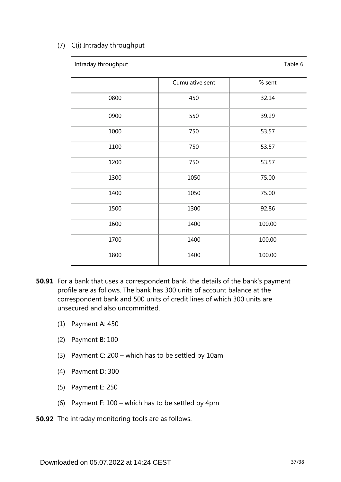### (7) C(i) Intraday throughput

| Intraday throughput |                 | Table 6 |
|---------------------|-----------------|---------|
|                     | Cumulative sent | % sent  |
| 0800                | 450             | 32.14   |
| 0900                | 550             | 39.29   |
| 1000                | 750             | 53.57   |
| 1100                | 750             | 53.57   |
| 1200                | 750             | 53.57   |
| 1300                | 1050            | 75.00   |
| 1400                | 1050            | 75.00   |
| 1500                | 1300            | 92.86   |
| 1600                | 1400            | 100.00  |
| 1700                | 1400            | 100.00  |
| 1800                | 1400            | 100.00  |

- **50.91** For a bank that uses a correspondent bank, the details of the bank's payment profile are as follows. The bank has 300 units of account balance at the correspondent bank and 500 units of credit lines of which 300 units are unsecured and also uncommitted.
	- (1) Payment A: 450
	- (2) Payment B: 100
	- (3) Payment C: 200 which has to be settled by 10am
	- (4) Payment D: 300
	- (5) Payment E: 250
	- (6) Payment F: 100 which has to be settled by 4pm
- **50.92** The intraday monitoring tools are as follows.